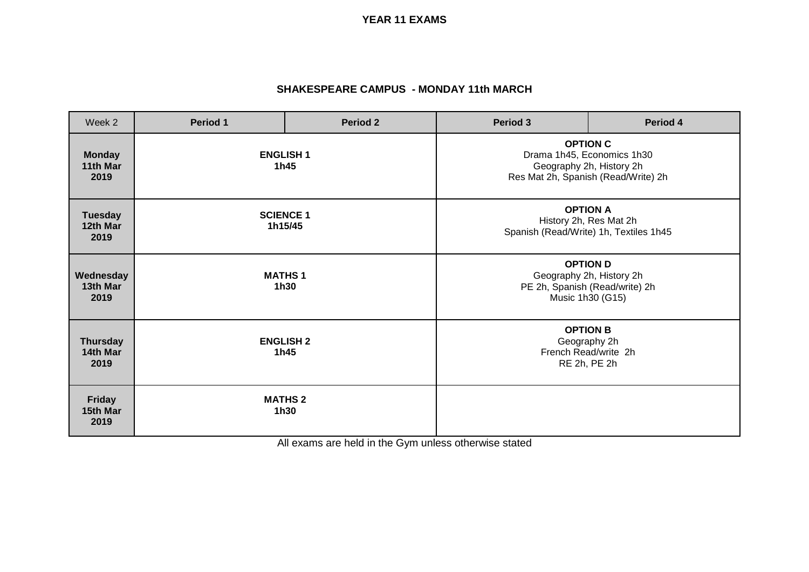**YEAR 11 EXAMS**

## **SHAKESPEARE CAMPUS - MONDAY 11th MARCH**

| Week 2                              | Period 1                    | <b>Period 2</b> | Period 3                                                                                                         | Period 4 |
|-------------------------------------|-----------------------------|-----------------|------------------------------------------------------------------------------------------------------------------|----------|
| <b>Monday</b><br>11th Mar<br>2019   | <b>ENGLISH 1</b><br>1h45    |                 | <b>OPTION C</b><br>Drama 1h45, Economics 1h30<br>Geography 2h, History 2h<br>Res Mat 2h, Spanish (Read/Write) 2h |          |
| <b>Tuesday</b><br>12th Mar<br>2019  | <b>SCIENCE 1</b><br>1h15/45 |                 | <b>OPTION A</b><br>History 2h, Res Mat 2h<br>Spanish (Read/Write) 1h, Textiles 1h45                              |          |
| Wednesday<br>13th Mar<br>2019       | <b>MATHS1</b><br>1h30       |                 | <b>OPTION D</b><br>Geography 2h, History 2h<br>PE 2h, Spanish (Read/write) 2h<br>Music 1h30 (G15)                |          |
| <b>Thursday</b><br>14th Mar<br>2019 | <b>ENGLISH 2</b><br>1h45    |                 | <b>OPTION B</b><br>Geography 2h<br>French Read/write 2h<br>RE 2h, PE 2h                                          |          |
| <b>Friday</b><br>15th Mar<br>2019   | <b>MATHS 2</b><br>1h30      |                 |                                                                                                                  |          |

All exams are held in the Gym unless otherwise stated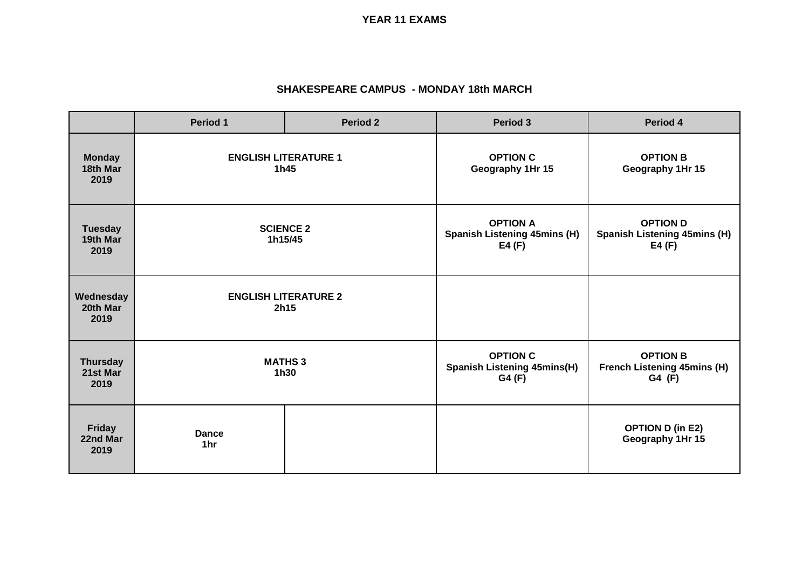**YEAR 11 EXAMS**

## **SHAKESPEARE CAMPUS - MONDAY 18th MARCH**

|                                     | Period 1                            | <b>Period 2</b> | Period 3                                                           | Period 4                                                        |
|-------------------------------------|-------------------------------------|-----------------|--------------------------------------------------------------------|-----------------------------------------------------------------|
| <b>Monday</b><br>18th Mar<br>2019   | <b>ENGLISH LITERATURE 1</b><br>1h45 |                 | <b>OPTION C</b><br>Geography 1Hr 15                                | <b>OPTION B</b><br>Geography 1Hr 15                             |
| <b>Tuesday</b><br>19th Mar<br>2019  | <b>SCIENCE 2</b><br>1h15/45         |                 | <b>OPTION A</b><br><b>Spanish Listening 45mins (H)</b><br>E4 $(F)$ | <b>OPTION D</b><br><b>Spanish Listening 45mins (H)</b><br>E4(F) |
| Wednesday<br>20th Mar<br>2019       | <b>ENGLISH LITERATURE 2</b><br>2h15 |                 |                                                                    |                                                                 |
| <b>Thursday</b><br>21st Mar<br>2019 | <b>MATHS 3</b><br>1h30              |                 | <b>OPTION C</b><br><b>Spanish Listening 45mins(H)</b><br>G4 (F)    | <b>OPTION B</b><br><b>French Listening 45mins (H)</b><br>G4 (F) |
| <b>Friday</b><br>22nd Mar<br>2019   | <b>Dance</b><br>1hr                 |                 |                                                                    | <b>OPTION D (in E2)</b><br>Geography 1Hr 15                     |